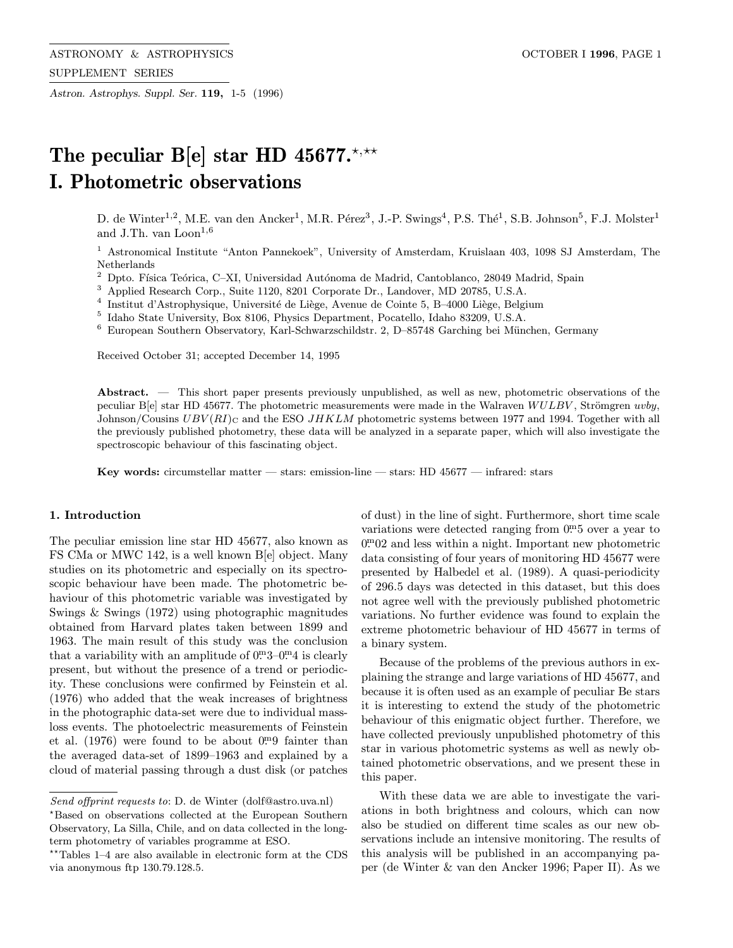Astron. Astrophys. Suppl. Ser. 119, 1-5 (1996)

# The peculiar B[e] star HD 45677.\*,\*\* I. Photometric observations

D. de Winter<sup>1,2</sup>, M.E. van den Ancker<sup>1</sup>, M.R. Pérez<sup>3</sup>, J.-P. Swings<sup>4</sup>, P.S. Thé<sup>1</sup>, S.B. Johnson<sup>5</sup>, F.J. Molster<sup>1</sup> and J.Th. van  $\mathrm{Loop}^{1,6}$ 

<sup>1</sup> Astronomical Institute "Anton Pannekoek", University of Amsterdam, Kruislaan 403, 1098 SJ Amsterdam, The Netherlands

 $^2$  Dpto. Física Teórica, C–XI, Universidad Autónoma de Madrid, Cantoblanco, 28049 Madrid, Spain

<sup>3</sup> Applied Research Corp., Suite 1120, 8201 Corporate Dr., Landover, MD 20785, U.S.A.

 $^4\,$ Institut d'Astrophysique, Université de Liège, Avenue de Cointe 5, B–4000 Liège, Belgium

<sup>5</sup> Idaho State University, Box 8106, Physics Department, Pocatello, Idaho 83209, U.S.A.

 $6$  European Southern Observatory, Karl-Schwarzschildstr. 2, D-85748 Garching bei München, Germany

Received October 31; accepted December 14, 1995

Abstract.  $\overline{ }$  This short paper presents previously unpublished, as well as new, photometric observations of the peculiar B[e] star HD 45677. The photometric measurements were made in the Walraven  $WULBV$ , Strömgren uvby, Johnson/Cousins  $UBV(RI)_C$  and the ESO JHKLM photometric systems between 1977 and 1994. Together with all the previously published photometry, these data will be analyzed in a separate paper, which will also investigate the spectroscopic behaviour of this fascinating object.

Key words: circumstellar matter — stars: emission-line — stars: HD 45677 — infrared: stars

### 1. Introduction

The peculiar emission line star HD 45677, also known as FS CMa or MWC 142, is a well known B[e] object. Many studies on its photometric and especially on its spectroscopic behaviour have been made. The photometric behaviour of this photometric variable was investigated by Swings & Swings (1972) using photographic magnitudes obtained from Harvard plates taken between 1899 and 1963. The main result of this study was the conclusion that a variability with an amplitude of  $0^{\text{m}}3-0^{\text{m}}4$  is clearly present, but without the presence of a trend or periodicity. These conclusions were confirmed by Feinstein et al. (1976) who added that the weak increases of brightness in the photographic data-set were due to individual massloss events. The photoelectric measurements of Feinstein et al.  $(1976)$  were found to be about  $0^{m}9$  fainter than the averaged data-set of 1899–1963 and explained by a cloud of material passing through a dust disk (or patches of dust) in the line of sight. Furthermore, short time scale variations were detected ranging from  $0.015$  over a year to 0. <sup>m</sup>02 and less within a night. Important new photometric data consisting of four years of monitoring HD 45677 were presented by Halbedel et al. (1989). A quasi-periodicity of 296.5 days was detected in this dataset, but this does not agree well with the previously published photometric variations. No further evidence was found to explain the extreme photometric behaviour of HD 45677 in terms of a binary system.

Because of the problems of the previous authors in explaining the strange and large variations of HD 45677, and because it is often used as an example of peculiar Be stars it is interesting to extend the study of the photometric behaviour of this enigmatic object further. Therefore, we have collected previously unpublished photometry of this star in various photometric systems as well as newly obtained photometric observations, and we present these in this paper.

With these data we are able to investigate the variations in both brightness and colours, which can now also be studied on different time scales as our new observations include an intensive monitoring. The results of this analysis will be published in an accompanying paper (de Winter & van den Ancker 1996; Paper II). As we

Send offprint requests to: D. de Winter (dolf@astro.uva.nl)

<sup>?</sup>Based on observations collected at the European Southern Observatory, La Silla, Chile, and on data collected in the longterm photometry of variables programme at ESO.

 $*$ <sup>\*\*</sup>Tables 1–4 are also available in electronic form at the CDS via anonymous ftp 130.79.128.5.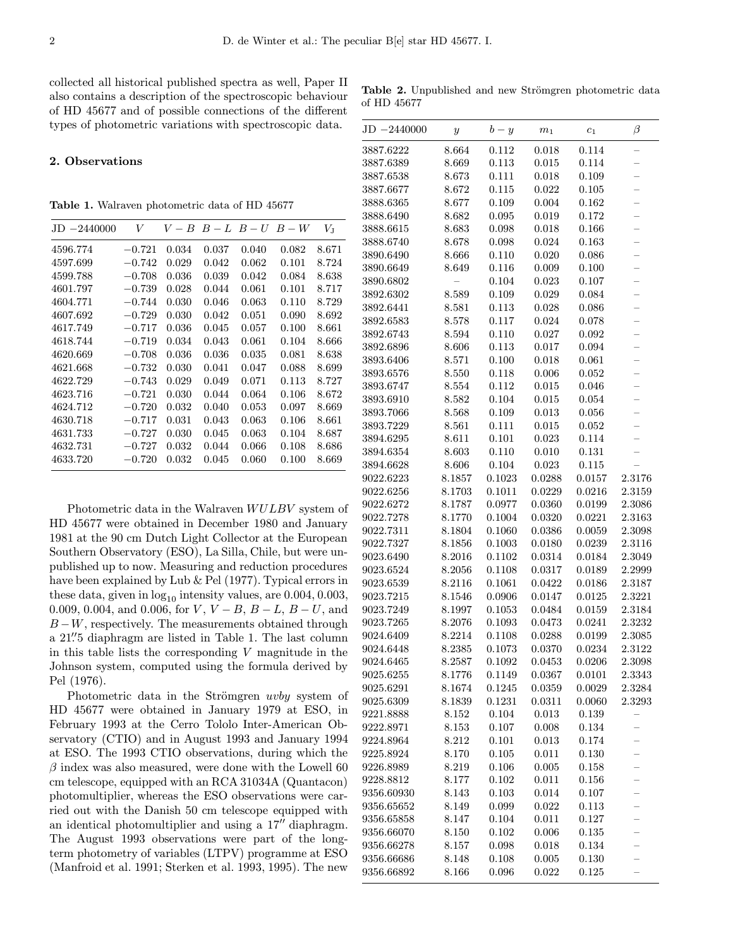collected all historical published spectra as well, Paper II also contains a description of the spectroscopic behaviour of HD 45677 and of possible connections of the different types of photometric variations with spectroscopic data.

Table 2. Unpublished and new Strömgren photometric data of HD 45677

#### 2. Observations

Table 1. Walraven photometric data of HD 45677

| $JD - 2440000$ | V        | $V-B$ |       | $B-L$ $B-U$ | $B-W$ | Vл    |
|----------------|----------|-------|-------|-------------|-------|-------|
| 4596.774       | $-0.721$ | 0.034 | 0.037 | 0.040       | 0.082 | 8.671 |
| 4597.699       | $-0.742$ | 0.029 | 0.042 | 0.062       | 0.101 | 8.724 |
| 4599.788       | $-0.708$ | 0.036 | 0.039 | 0.042       | 0.084 | 8.638 |
| 4601.797       | $-0.739$ | 0.028 | 0.044 | 0.061       | 0.101 | 8.717 |
| 4604.771       | $-0.744$ | 0.030 | 0.046 | 0.063       | 0.110 | 8.729 |
| 4607.692       | $-0.729$ | 0.030 | 0.042 | 0.051       | 0.090 | 8.692 |
| 4617.749       | $-0.717$ | 0.036 | 0.045 | 0.057       | 0.100 | 8.661 |
| 4618.744       | $-0.719$ | 0.034 | 0.043 | 0.061       | 0.104 | 8.666 |
| 4620.669       | $-0.708$ | 0.036 | 0.036 | 0.035       | 0.081 | 8.638 |
| 4621.668       | $-0.732$ | 0.030 | 0.041 | 0.047       | 0.088 | 8.699 |
| 4622.729       | $-0.743$ | 0.029 | 0.049 | 0.071       | 0.113 | 8.727 |
| 4623.716       | $-0.721$ | 0.030 | 0.044 | 0.064       | 0.106 | 8.672 |
| 4624.712       | $-0.720$ | 0.032 | 0.040 | 0.053       | 0.097 | 8.669 |
| 4630.718       | $-0.717$ | 0.031 | 0.043 | 0.063       | 0.106 | 8.661 |
| 4631.733       | $-0.727$ | 0.030 | 0.045 | 0.063       | 0.104 | 8.687 |
| 4632.731       | $-0.727$ | 0.032 | 0.044 | 0.066       | 0.108 | 8.686 |
| 4633.720       | $-0.720$ | 0.032 | 0.045 | 0.060       | 0.100 | 8.669 |

Photometric data in the Walraven WULBV system of HD 45677 were obtained in December 1980 and January 1981 at the 90 cm Dutch Light Collector at the European Southern Observatory (ESO), La Silla, Chile, but were unpublished up to now. Measuring and reduction procedures have been explained by Lub & Pel (1977). Typical errors in these data, given in  $log_{10}$  intensity values, are 0.004, 0.003, 0.009, 0.004, and 0.006, for  $V, V - B, B - L, B - U$ , and  $B-W$ , respectively. The measurements obtained through a 21" 5 diaphragm are listed in Table 1. The last column in this table lists the corresponding  $V$  magnitude in the Johnson system, computed using the formula derived by Pel (1976).

Photometric data in the Strömgren *uvby* system of HD 45677 were obtained in January 1979 at ESO, in February 1993 at the Cerro Tololo Inter-American Observatory (CTIO) and in August 1993 and January 1994 at ESO. The 1993 CTIO observations, during which the  $\beta$  index was also measured, were done with the Lowell 60 cm telescope, equipped with an RCA 31034A (Quantacon) photomultiplier, whereas the ESO observations were carried out with the Danish 50 cm telescope equipped with an identical photomultiplier and using a  $17<sup>′</sup>$  diaphragm. The August 1993 observations were part of the longterm photometry of variables (LTPV) programme at ESO (Manfroid et al. 1991; Sterken et al. 1993, 1995). The new

| $JD - 2440000$         | $\boldsymbol{y}$ | $b-y$            | $m_1$            | c <sub>1</sub>   | $\beta$                  |
|------------------------|------------------|------------------|------------------|------------------|--------------------------|
| 3887.6222              | 8.664            | 0.112            | 0.018            | 0.114            |                          |
| 3887.6389              | 8.669            | 0.113            | 0.015            | 0.114            |                          |
| 3887.6538              | 8.673            | 0.111            | 0.018            | 0.109            |                          |
| 3887.6677              | 8.672            | 0.115            | 0.022            | 0.105            | $\overline{\phantom{0}}$ |
| 3888.6365              | 8.677            | 0.109            | 0.004            | 0.162            |                          |
| 3888.6490              | 8.682            | 0.095            | 0.019            | 0.172            |                          |
| 3888.6615              | 8.683            | 0.098            | 0.018            | 0.166            |                          |
| 3888.6740              | 8.678            | 0.098            | 0.024            | 0.163            | $\overline{a}$           |
| 3890.6490              | 8.666            | 0.110            | 0.020            | 0.086            | $\overline{a}$           |
| 3890.6649              | 8.649            | 0.116            | 0.009            | 0.100            |                          |
| 3890.6802              |                  | 0.104            | 0.023            | 0.107            | $\frac{1}{1}$            |
| 3892.6302              | 8.589            | 0.109            | 0.029            | 0.084            | $\overline{a}$           |
| 3892.6441              | 8.581            | 0.113            | 0.028            | 0.086            |                          |
| 3892.6583              | 8.578            | 0.117            | 0.024            | 0.078            | $\overline{a}$           |
| 3892.6743              | 8.594            | 0.110            | 0.027            | 0.092            | $\overline{\phantom{0}}$ |
| 3892.6896              | 8.606            | 0.113            | 0.017            | 0.094            |                          |
| 3893.6406              | 8.571            | 0.100            | 0.018            | 0.061            | $\overline{a}$           |
| 3893.6576              | 8.550            | 0.118            | 0.006            | 0.052            | $\overline{a}$           |
| 3893.6747              | 8.554            | 0.112            | 0.015            | 0.046            | $\overline{a}$           |
| 3893.6910              | 8.582            | 0.104            | 0.015            | 0.054            | $\overline{a}$           |
| 3893.7066              | 8.568            | 0.109            | 0.013            | 0.056            | $\overline{a}$           |
| 3893.7229              | 8.561            | 0.111            | 0.015            | 0.052            | $\overline{a}$           |
| 3894.6295              | 8.611            | 0.101            | 0.023            | 0.114            | $\overline{a}$           |
| 3894.6354              | 8.603            | 0.110            | 0.010            | 0.131            |                          |
| 3894.6628              | 8.606            | 0.104            | 0.023            | 0.115            |                          |
| 9022.6223              | 8.1857           | 0.1023           | 0.0288           | 0.0157           | 2.3176                   |
| 9022.6256              | 8.1703           | 0.1011           | 0.0229           | 0.0216           | 2.3159                   |
| 9022.6272              | 8.1787           | 0.0977           | 0.0360<br>0.0320 | 0.0199<br>0.0221 | 2.3086                   |
| 9022.7278<br>9022.7311 | 8.1770<br>8.1804 | 0.1004<br>0.1060 | 0.0386           | 0.0059           | 2.3163<br>2.3098         |
| 9022.7327              | 8.1856           | 0.1003           | 0.0180           | 0.0239           | 2.3116                   |
| 9023.6490              | 8.2016           | 0.1102           | 0.0314           | 0.0184           | 2.3049                   |
| 9023.6524              | 8.2056           | 0.1108           | 0.0317           | 0.0189           | 2.2999                   |
| 9023.6539              | 8.2116           | 0.1061           | 0.0422           | 0.0186           | 2.3187                   |
| 9023.7215              | 8.1546           | 0.0906           | 0.0147           | 0.0125           | 2.3221                   |
| 9023.7249              | 8.1997           | 0.1053           | 0.0484           | 0.0159           | 2.3184                   |
| 9023.7265              | 8.2076           | 0.1093           | 0.0473           | 0.0241           | 2.3232                   |
| 9024.6409              | 8.2214           | 0.1108           | 0.0288           | 0.0199           | 2.3085                   |
| 9024.6448              | 8.2385           | 0.1073           | 0.0370           | 0.0234           | 2.3122                   |
| 9024.6465              | 8.2587           | 0.1092           | 0.0453           | 0.0206           | 2.3098                   |
| 9025.6255              | 8.1776           | 0.1149           | 0.0367           | 0.0101           | 2.3343                   |
| 9025.6291              | 8.1674           | 0.1245           | 0.0359           | 0.0029           | 2.3284                   |
| 9025.6309              | 8.1839           | 0.1231           | 0.0311           | 0.0060           | 2.3293                   |
| 9221.8888              | 8.152            | 0.104            | 0.013            | 0.139            |                          |
| 9222.8971              | 8.153            | 0.107            | 0.008            | 0.134            |                          |
| 9224.8964              | 8.212            | 0.101            | 0.013            | 0.174            |                          |
| 9225.8924              | 8.170            | 0.105            | 0.011            | 0.130            |                          |
| 9226.8989              | 8.219            | 0.106            | 0.005            | 0.158            |                          |
| 9228.8812              | 8.177            | 0.102            | 0.011            | 0.156            |                          |
| 9356.60930             | 8.143            | 0.103            | 0.014            | 0.107            |                          |
| 9356.65652             | 8.149            | 0.099            | 0.022            | 0.113            | -                        |
| 9356.65858             | 8.147            | 0.104            | 0.011            | 0.127            |                          |
| 9356.66070             | 8.150            | 0.102            | 0.006            | 0.135            |                          |
| 9356.66278             | 8.157            | 0.098            | 0.018            | 0.134            |                          |
| 9356.66686             | 8.148            | 0.108            | 0.005            | 0.130            |                          |
| 9356.66892             | 8.166            | 0.096            | 0.022            | 0.125            | $\overline{\phantom{0}}$ |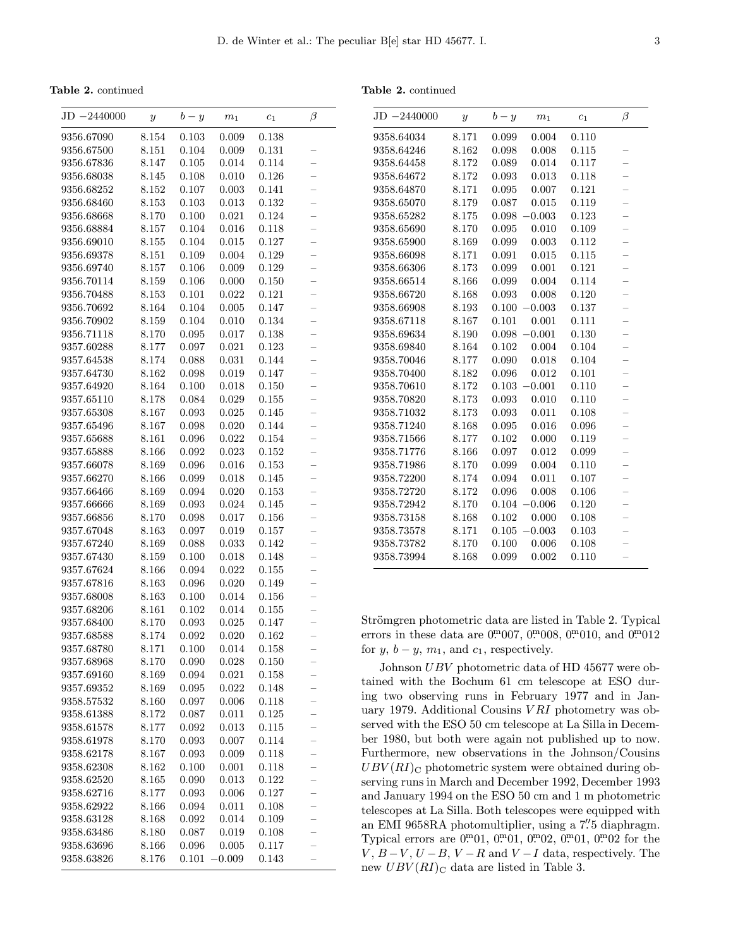Table 2. continued

Table 2. continued

| $JD - 2440000$ | $\boldsymbol{y}$ | $b - y$ | $m_1$    | c <sub>1</sub> | $\beta$                  |
|----------------|------------------|---------|----------|----------------|--------------------------|
| 9356.67090     | 8.154            | 0.103   | 0.009    | 0.138          |                          |
| 9356.67500     | 8.151            | 0.104   | 0.009    | 0.131          |                          |
| 9356.67836     | 8.147            | 0.105   | 0.014    | 0.114          |                          |
| 9356.68038     | 8.145            | 0.108   | 0.010    | 0.126          | $\overline{a}$           |
| 9356.68252     | 8.152            | 0.107   | 0.003    | 0.141          |                          |
| 9356.68460     | 8.153            | 0.103   | 0.013    | 0.132          |                          |
| 9356.68668     | 8.170            | 0.100   | 0.021    | 0.124          | $\overline{a}$           |
| 9356.68884     | 8.157            | 0.104   | 0.016    | 0.118          | $\overline{a}$           |
| 9356.69010     | 8.155            | 0.104   | 0.015    | 0.127          | $\overline{a}$           |
| 9356.69378     | 8.151            | 0.109   | 0.004    | 0.129          | $\overline{a}$           |
| 9356.69740     | 8.157            | 0.106   | 0.009    | 0.129          | $\overline{a}$           |
| 9356.70114     | 8.159            | 0.106   | 0.000    | 0.150          |                          |
| 9356.70488     | 8.153            | 0.101   | 0.022    | 0.121          | $\frac{1}{1}$            |
| 9356.70692     | 8.164            | 0.104   | 0.005    | 0.147          | $\overline{a}$           |
| 9356.70902     | 8.159            | 0.104   | 0.010    | 0.134          |                          |
| 9356.71118     | 8.170            | 0.095   | 0.017    | 0.138          |                          |
| 9357.60288     | 8.177            | 0.097   | 0.021    | 0.123          | $\overline{a}$           |
| 9357.64538     | 8.174            | 0.088   | 0.031    | 0.144          |                          |
| 9357.64730     | 8.162            | 0.098   | 0.019    | 0.147          |                          |
| 9357.64920     | 8.164            | 0.100   | 0.018    | 0.150          |                          |
| 9357.65110     | 8.178            | 0.084   | 0.029    | 0.155          |                          |
| 9357.65308     | 8.167            | 0.093   | 0.025    | 0.145          |                          |
| 9357.65496     | 8.167            | 0.098   | 0.020    | 0.144          |                          |
| 9357.65688     | 8.161            | 0.096   | 0.022    | 0.154          |                          |
| 9357.65888     | 8.166            | 0.092   | 0.023    | 0.152          | $\overline{a}$           |
| 9357.66078     | 8.169            | 0.096   | 0.016    | 0.153          | $\overline{a}$           |
| 9357.66270     | 8.166            | 0.099   | 0.018    | 0.145          | $\overline{a}$           |
| 9357.66466     | 8.169            | 0.094   | 0.020    | 0.153          | $\overline{a}$           |
| 9357.66666     | 8.169            | 0.093   | 0.024    | 0.145          |                          |
| 9357.66856     | 8.170            | 0.098   | 0.017    | 0.156          | $\overline{a}$           |
| 9357.67048     | 8.163            | 0.097   | 0.019    | 0.157          | $\overline{a}$           |
| 9357.67240     | 8.169            | 0.088   | 0.033    | 0.142          | $\overline{a}$           |
| 9357.67430     | 8.159            | 0.100   | 0.018    | 0.148          | $\overline{a}$           |
| 9357.67624     | 8.166            | 0.094   | 0.022    | 0.155          |                          |
| 9357.67816     | 8.163            | 0.096   | 0.020    | 0.149          |                          |
| 9357.68008     | 8.163            | 0.100   | 0.014    | 0.156          | $\frac{1}{100}$          |
| 9357.68206     | 8.161            | 0.102   | 0.014    | 0.155          |                          |
| 9357.68400     | 8.170            | 0.093   | 0.025    | 0.147          |                          |
| 9357.68588     | 8.174            | 0.092   | 0.020    | 0.162          |                          |
| 9357.68780     | 8.171            | 0.100   | 0.014    | $\,0.158\,$    | -                        |
| 9357.68968     | 8.170            | 0.090   | 0.028    | 0.150          |                          |
| 9357.69160     | 8.169            | 0.094   | 0.021    | 0.158          | $\overline{a}$           |
| 9357.69352     | 8.169            | 0.095   | 0.022    | 0.148          | ÷                        |
| 9358.57532     | 8.160            | 0.097   | 0.006    | 0.118          | $\overline{a}$           |
| 9358.61388     | 8.172            | 0.087   | 0.011    | 0.125          |                          |
| 9358.61578     | 8.177            | 0.092   | 0.013    | 0.115          | $\overline{\phantom{0}}$ |
| 9358.61978     | 8.170            | 0.093   | 0.007    | 0.114          |                          |
| 9358.62178     | 8.167            | 0.093   | 0.009    | 0.118          | $\overline{a}$           |
| 9358.62308     | 8.162            | 0.100   | 0.001    | 0.118          | $\overline{a}$           |
| 9358.62520     | 8.165            | 0.090   | 0.013    | 0.122          | $\overline{a}$           |
| 9358.62716     | 8.177            | 0.093   | 0.006    | 0.127          | $\frac{1}{1}$            |
| 9358.62922     | 8.166            | 0.094   | 0.011    | 0.108          | $\overline{a}$           |
| 9358.63128     | 8.168            | 0.092   | 0.014    | 0.109          | $\overline{a}$           |
| 9358.63486     | 8.180            | 0.087   | 0.019    | 0.108          |                          |
| 9358.63696     | 8.166            | 0.096   | 0.005    | 0.117          |                          |
| 9358.63826     | 8.176            | 0.101   | $-0.009$ | 0.143          | $\overline{a}$           |

| $JD -2440000$ | $\boldsymbol{y}$ | $b-y$ | m <sub>1</sub> | c <sub>1</sub> | $\beta$                  |
|---------------|------------------|-------|----------------|----------------|--------------------------|
| 9358.64034    | 8.171            | 0.099 | 0.004          | 0.110          |                          |
| 9358.64246    | 8.162            | 0.098 | 0.008          | 0.115          |                          |
| 9358.64458    | 8.172            | 0.089 | 0.014          | 0.117          | $\overline{\phantom{0}}$ |
| 9358.64672    | 8.172            | 0.093 | 0.013          | 0.118          | $\overline{\phantom{0}}$ |
| 9358.64870    | 8.171            | 0.095 | 0.007          | 0.121          | $\overline{\phantom{0}}$ |
| 9358.65070    | 8.179            | 0.087 | 0.015          | 0.119          | $\overline{a}$           |
| 9358.65282    | 8.175            | 0.098 | $-0.003$       | 0.123          | $\overline{a}$           |
| 9358.65690    | 8.170            | 0.095 | 0.010          | 0.109          | $\overline{a}$           |
| 9358.65900    | 8.169            | 0.099 | 0.003          | 0.112          | $\overline{a}$           |
| 9358.66098    | 8.171            | 0.091 | 0.015          | 0.115          | $\overline{a}$           |
| 9358.66306    | 8.173            | 0.099 | 0.001          | 0.121          | $\overline{a}$           |
| 9358.66514    | 8.166            | 0.099 | 0.004          | 0.114          | $\equiv$                 |
| 9358.66720    | 8.168            | 0.093 | 0.008          | 0.120          | $\equiv$                 |
| 9358.66908    | 8.193            | 0.100 | $-0.003$       | 0.137          | $\overline{a}$           |
| 9358.67118    | 8.167            | 0.101 | 0.001          | 0.111          | $\overline{a}$           |
| 9358.69634    | 8.190            | 0.098 | $-0.001$       | 0.130          | $\equiv$                 |
| 9358.69840    | 8.164            | 0.102 | 0.004          | 0.104          | $\overline{a}$           |
| 9358.70046    | 8.177            | 0.090 | 0.018          | 0.104          | $\overline{a}$           |
| 9358.70400    | 8.182            | 0.096 | 0.012          | 0.101          | $\overline{a}$           |
| 9358.70610    | 8.172            | 0.103 | 0.001          | 0.110          | $\overline{a}$           |
| 9358.70820    | 8.173            | 0.093 | 0.010          | 0.110          | $\overline{a}$           |
| 9358.71032    | 8.173            | 0.093 | 0.011          | 0.108          | $\overline{a}$           |
| 9358.71240    | 8.168            | 0.095 | 0.016          | 0.096          | $\equiv$                 |
| 9358.71566    | 8.177            | 0.102 | 0.000          | 0.119          | $\overline{a}$           |
| 9358.71776    | 8.166            | 0.097 | 0.012          | 0.099          | $\overline{a}$           |
| 9358.71986    | 8.170            | 0.099 | 0.004          | 0.110          | $\overline{\phantom{0}}$ |
| 9358.72200    | 8.174            | 0.094 | 0.011          | 0.107          | $\overline{a}$           |
| 9358.72720    | 8.172            | 0.096 | 0.008          | 0.106          | $\overline{a}$           |
| 9358.72942    | 8.170            | 0.104 | $-0.006$       | 0.120          | $\equiv$                 |
| 9358.73158    | 8.168            | 0.102 | 0.000          | 0.108          | $\overline{a}$           |
| 9358.73578    | 8.171            | 0.105 | $-0.003$       | 0.103          | $\overline{a}$           |
| 9358.73782    | 8.170            | 0.100 | 0.006          | 0.108          |                          |
| 9358.73994    | 8.168            | 0.099 | 0.002          | 0.110          | $\overline{a}$           |
|               |                  |       |                |                |                          |

Strömgren photometric data are listed in Table 2. Typical errors in these data are  $0.^{\rm m}007, 0.^{\rm m}008, 0.^{\rm m}010,$  and  $0.^{\rm m}012$ for  $y, b - y, m_1,$  and  $c_1$ , respectively.

Johnson UBV photometric data of HD 45677 were obtained with the Bochum 61 cm telescope at ESO during two observing runs in February 1977 and in January 1979. Additional Cousins VRI photometry was observed with the ESO 50 cm telescope at La Silla in December 1980, but both were again not published up to now. Furthermore, new observations in the Johnson/Cousins  $UBV(RI)_{\text{C}}$  photometric system were obtained during observing runs in March and December 1992, December 1993 and January 1994 on the ESO 50 cm and 1 m photometric telescopes at La Silla. Both telescopes were equipped with an EMI 9658RA photomultiplier, using a 7"5 diaphragm. Typical errors are  $0^{m}01$ ,  $0^{m}01$ ,  $0^{m}02$ ,  $0^{m}01$ ,  $0^{m}02$  for the  $V, B-V, U-B, V-R$  and  $V-I$  data, respectively. The new  $UBV(RI)_{\text{C}}$  data are listed in Table 3.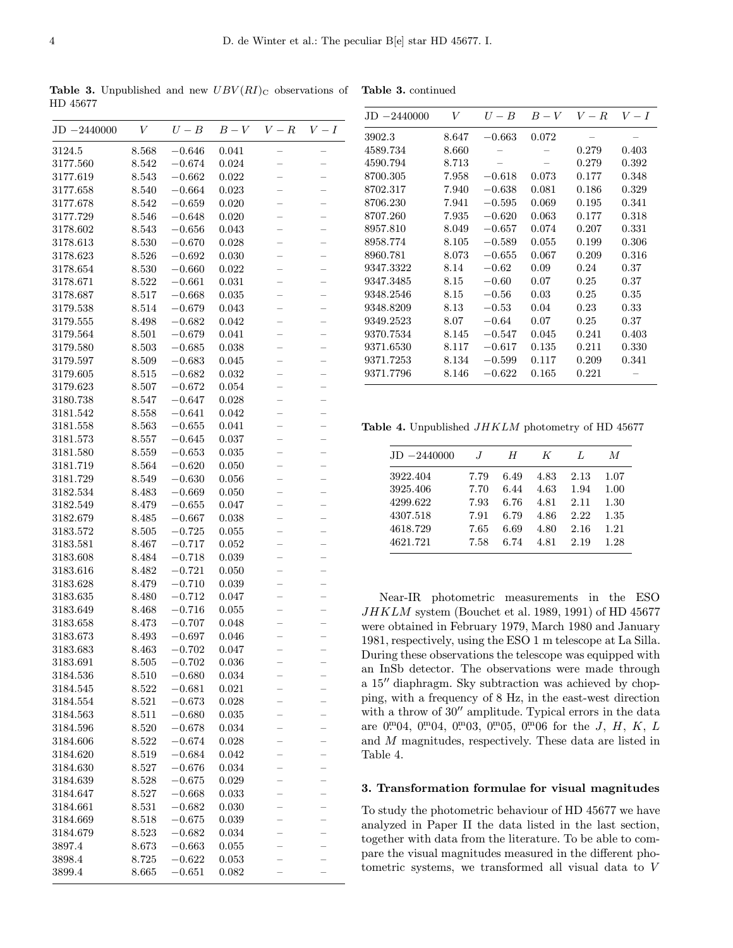**Table 3.** Unpublished and new  $UBV(RI)_{\text{C}}$  observations of Table 3. continued HD 45677

|                   |       | $JD -2440000$                                                   | $\boldsymbol{V}$ |      | $U-B$     | $B-V$      | $V-R$ |                  | $V-I$     |
|-------------------|-------|-----------------------------------------------------------------|------------------|------|-----------|------------|-------|------------------|-----------|
| $V-R$             | $V-I$ | 3902.3                                                          | 8.647            |      | $-0.663$  | 0.072      |       |                  |           |
| $\qquad \qquad -$ |       | 4589.734                                                        | 8.660            |      |           |            | 0.279 |                  | 0.403     |
|                   |       | 4590.794                                                        | 8.713            |      |           |            | 0.279 |                  | 0.392     |
|                   |       | 8700.305                                                        | 7.958            |      | $-0.618$  | 0.073      | 0.177 |                  | 0.348     |
|                   |       | 8702.317                                                        | 7.940            |      | $-0.638$  | 0.081      | 0.186 |                  | $0.329\,$ |
|                   |       | 8706.230                                                        | 7.941            |      | $-0.595$  | 0.069      | 0.195 |                  | 0.341     |
|                   |       | 8707.260                                                        | 7.935            |      | $-0.620$  | 0.063      | 0.177 |                  | 0.318     |
|                   |       | 8957.810                                                        | 8.049            |      | $-0.657$  | 0.074      | 0.207 |                  | 0.331     |
|                   |       | 8958.774                                                        | 8.105            |      | $-0.589$  | 0.055      | 0.199 |                  | 0.306     |
|                   |       | 8960.781                                                        | 8.073            |      | $-0.655$  | 0.067      | 0.209 |                  | 0.316     |
|                   |       | 9347.3322                                                       | 8.14             |      | $-0.62$   | 0.09       | 0.24  |                  | 0.37      |
|                   |       | 9347.3485                                                       | 8.15             |      | $-0.60$   | 0.07       | 0.25  |                  | 0.37      |
|                   |       | 9348.2546                                                       | 8.15             |      | $-0.56$   | 0.03       | 0.25  |                  | 0.35      |
|                   |       | 9348.8209                                                       | 8.13             |      | $-0.53$   | $\rm 0.04$ | 0.23  |                  | 0.33      |
|                   |       | 9349.2523                                                       | 8.07             |      | $-0.64$   | 0.07       | 0.25  |                  | 0.37      |
|                   |       | 9370.7534                                                       | 8.145            |      | $-0.547$  | 0.045      | 0.241 |                  | 0.403     |
|                   |       | 9371.6530                                                       | 8.117            |      | $-0.617$  | 0.135      | 0.211 |                  | 0.330     |
|                   |       | 9371.7253                                                       | 8.134            |      | $-0.599$  | 0.117      | 0.209 |                  | 0.341     |
|                   |       | 9371.7796                                                       | 8.146            |      | $-0.622$  | 0.165      | 0.221 |                  |           |
|                   |       |                                                                 |                  |      |           |            |       |                  |           |
|                   |       |                                                                 |                  |      |           |            |       |                  |           |
|                   | -     |                                                                 |                  |      |           |            |       |                  |           |
|                   | -     | <b>Table 4.</b> Unpublished <i>JHKLM</i> photometry of HD 45677 |                  |      |           |            |       |                  |           |
|                   |       |                                                                 |                  |      |           |            |       |                  |           |
|                   |       | $JD -2440000$                                                   |                  | J    | $H_{\rm}$ | Κ          | L     | $\boldsymbol{M}$ |           |
|                   |       |                                                                 |                  |      |           |            |       |                  |           |
|                   |       | 3922.404                                                        |                  | 7.79 | 6.49      | 4.83       | 2.13  | 1.07             |           |
|                   |       | 3925.406                                                        |                  | 7.70 | 6.44      | 4.63       | 1.94  | 1.00             |           |
|                   |       | 4299.622                                                        |                  | 7.93 | 6.76      | 4.81       | 2.11  | 1.30             |           |
|                   |       | 4307.518                                                        |                  | 7.91 | 6.79      | 4.86       | 2.22  | 1.35             |           |
|                   |       | 4618.729                                                        |                  | 7.65 | 6.69      | 4.80       | 2.16  | 1.21             |           |

Near-IR photometric measurements in the ESO JHKLM system (Bouchet et al. 1989, 1991) of HD 45677 were obtained in February 1979, March 1980 and January 1981, respectively, using the ESO 1 m telescope at La Silla. During these observations the telescope was equipped with an InSb detector. The observations were made through a 15" diaphragm. Sky subtraction was achieved by chopping, with a frequency of 8 Hz, in the east-west direction with a throw of  $30''$  amplitude. Typical errors in the data are  $0^{m}04$ ,  $0^{m}04$ ,  $0^{m}03$ ,  $0^{m}05$ ,  $0^{m}06$  for the J, H, K, L and M magnitudes, respectively. These data are listed in Table 4.

4621.721 7.58 6.74 4.81 2.19 1.28

## 3. Transformation formulae for visual magnitudes

To study the photometric behaviour of HD 45677 we have analyzed in Paper II the data listed in the last section, together with data from the literature. To be able to compare the visual magnitudes measured in the different photometric systems, we transformed all visual data to V

| $JD -2440000$ | V     | $U-B$        | $B-V$       | $V - R$                  | $V-I$                    |
|---------------|-------|--------------|-------------|--------------------------|--------------------------|
| 3124.5        | 8.568 | $-0.646$     | 0.041       |                          |                          |
| 3177.560      | 8.542 | $-0.674$     | 0.024       |                          |                          |
| 3177.619      | 8.543 | $-0.662$     | 0.022       |                          | $\frac{1}{1}$            |
| 3177.658      | 8.540 | $-0.664$     | 0.023       |                          |                          |
| 3177.678      | 8.542 | $-0.659$     | 0.020       |                          |                          |
| 3177.729      | 8.546 | $-0.648$     | 0.020       | $\overline{a}$           | $\overline{a}$           |
| 3178.602      | 8.543 | $-0.656$     | 0.043       |                          |                          |
| 3178.613      | 8.530 | $-0.670$     | 0.028       |                          |                          |
| 3178.623      | 8.526 | $-0.692$     | 0.030       | $\overline{a}$           | $\overline{a}$           |
| 3178.654      | 8.530 | $-0.660$     | 0.022       | $\equiv$                 | $\equiv$                 |
| 3178.671      | 8.522 | $-0.661$     | 0.031       |                          |                          |
| 3178.687      | 8.517 | $-0.668$     | 0.035       | $\overline{\phantom{0}}$ | -                        |
| 3179.538      | 8.514 | $-0.679$     | 0.043       | -                        | $\overline{\phantom{0}}$ |
| 3179.555      | 8.498 | $-0.682$     | 0.042       |                          |                          |
| 3179.564      | 8.501 | $-0.679$     | 0.041       |                          | ÷,                       |
| 3179.580      | 8.503 | $-0.685$     | 0.038       |                          |                          |
| 3179.597      | 8.509 | $-0.683$     | 0.045       |                          | $\overline{a}$           |
| 3179.605      | 8.515 | $-0.682$     | 0.032       | $\overline{\phantom{0}}$ | -                        |
| 3179.623      | 8.507 | $-0.672$     | 0.054       |                          |                          |
| 3180.738      | 8.547 | $-0.647$     | 0.028       | $\overline{\phantom{0}}$ | $\overline{a}$           |
| 3181.542      | 8.558 | $-0.641$     | 0.042       | $\equiv$                 | $\overline{a}$           |
| 3181.558      | 8.563 | $-0.655$     | 0.041       |                          | $\overline{\phantom{0}}$ |
| 3181.573      | 8.557 | $-0.645$     | 0.037       |                          | $\overline{a}$           |
| 3181.580      | 8.559 | $-0.653$     | 0.035       |                          | $\overline{a}$           |
| 3181.719      | 8.564 | $-0.620$     | 0.050       |                          | -                        |
| 3181.729      | 8.549 | $-0.630$     | 0.056       |                          |                          |
| 3182.534      | 8.483 | $-0.669$     | 0.050       |                          |                          |
| 3182.549      | 8.479 | $-0.655$     | 0.047       |                          |                          |
| 3182.679      | 8.485 | $-0.667$     | 0.038       | $\overline{\phantom{0}}$ | $\overline{a}$           |
| 3183.572      | 8.505 | $-0.725$     | 0.055       |                          |                          |
| 3183.581      | 8.467 | $-0.717$     | 0.052       |                          |                          |
| 3183.608      | 8.484 | $-0.718$     | 0.039       | $\overline{a}$           | $\overline{a}$           |
| 3183.616      | 8.482 | $-0.721$     | 0.050       | $\overline{a}$           | $\overline{a}$           |
| 3183.628      | 8.479 | $-0.710$     | 0.039       |                          |                          |
| 3183.635      | 8.480 | $-0.712$     | 0.047       | $\overline{a}$           | $\overline{a}$           |
| 3183.649      | 8.468 | $-0.716$     | 0.055       | $\overline{\phantom{0}}$ | $\overline{\phantom{0}}$ |
| 3183.658      | 8.473 | $-0.707$     | 0.048       |                          |                          |
| 3183.673      | 8.493 | $-0.697$     | 0.046       | $\overline{\phantom{0}}$ |                          |
| 3183.683      | 8.463 | $-0.702$     | 0.047       | $\overline{a}$           |                          |
| 3183.691      | 8.505 | $-0.702$     | $\,0.036\,$ |                          |                          |
| 3184.536      | 8.510 | $-0.680$     | 0.034       |                          |                          |
| 3184.545      | 8.522 | $-0.681$     | 0.021       |                          |                          |
| 3184.554      | 8.521 | $-0.673$     | 0.028       | $\overline{\phantom{0}}$ | $\overline{a}$           |
| 3184.563      | 8.511 | $-0.680$     | 0.035       | $\overline{a}$           | $\overline{\phantom{a}}$ |
| 3184.596      | 8.520 | $-0.678$     | 0.034       |                          |                          |
| 3184.606      | 8.522 | $-0.674$     | 0.028       | $\overline{a}$           | $\overline{a}$           |
| 3184.620      | 8.519 | $-0.684$     | 0.042       | $\overline{a}$           | $\overline{a}$           |
| 3184.630      | 8.527 | $-0.676$     | 0.034       | $\overline{a}$           | $\overline{a}$           |
| 3184.639      | 8.528 | $-0.675$     | 0.029       | $\overline{a}$           | $\overline{a}$           |
| 3184.647      | 8.527 | $\!-0.668\!$ | 0.033       | $\overline{a}$           |                          |
| 3184.661      | 8.531 | $-0.682$     | 0.030       |                          | $\overline{a}$           |
| 3184.669      | 8.518 | $-0.675$     | 0.039       | $\overline{a}$           |                          |
| 3184.679      | 8.523 | $-0.682$     | 0.034       |                          |                          |
| 3897.4        | 8.673 | $-0.663$     | 0.055       | -<br>$\overline{a}$      | $\overline{\phantom{a}}$ |
| 3898.4        | 8.725 | $-0.622$     | 0.053       |                          |                          |
| 3899.4        | 8.665 | $-0.651$     | 0.082       |                          |                          |